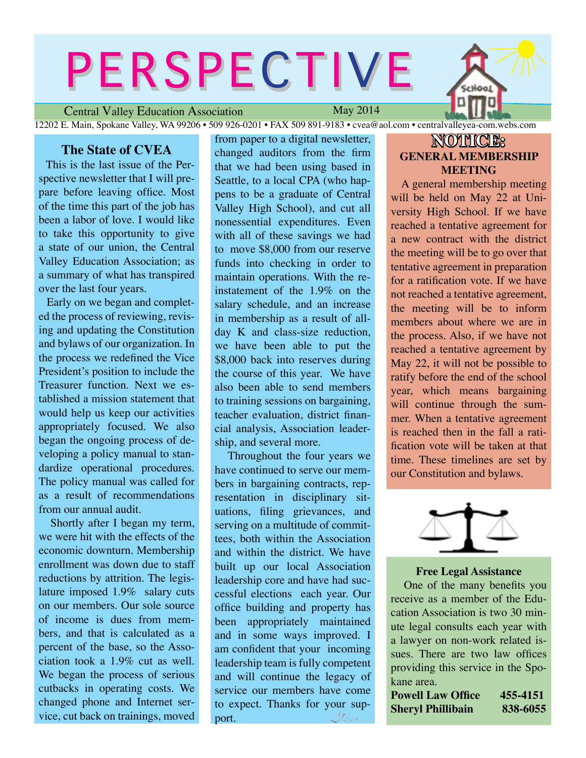# PERSPECTIVE

Central Valley Education Association

May 2014

12202 E. Main, Spokane Valley, WA 99206 • 509 926-0201 • FAX 509 891-9183 • cvea@aol.com • centralvalleyea-com.webs.com

#### **The State of CVEA**

This is the last issue of the Perspective newsletter that I will prepare before leaving office. Most of the time this part of the job has been a labor of love. I would like to take this opportunity to give a state of our union, the Central Valley Education Association; as a summary of what has transpired over the last four years.

Early on we began and completed the process of reviewing, revising and updating the Constitution and bylaws of our organization. In the process we redefined the Vice President's position to include the Treasurer function. Next we established a mission statement that would help us keep our activities appropriately focused. We also began the ongoing process of developing a policy manual to standardize operational procedures. The policy manual was called for as a result of recommendations from our annual audit.

 Shortly after I began my term, we were hit with the effects of the economic downturn. Membership enrollment was down due to staff reductions by attrition. The legislature imposed 1.9% salary cuts on our members. Our sole source of income is dues from members, and that is calculated as a percent of the base, so the Association took a 1.9% cut as well. We began the process of serious cutbacks in operating costs. We changed phone and Internet service, cut back on trainings, moved from paper to a digital newsletter, changed auditors from the firm that we had been using based in Seattle, to a local CPA (who happens to be a graduate of Central Valley High School), and cut all nonessential expenditures. Even with all of these savings we had to move \$8,000 from our reserve funds into checking in order to maintain operations. With the reinstatement of the 1.9% on the salary schedule, and an increase in membership as a result of allday K and class-size reduction, we have been able to put the \$8,000 back into reserves during the course of this year. We have also been able to send members to training sessions on bargaining, teacher evaluation, district financial analysis, Association leadership, and several more.

 Throughout the four years we have continued to serve our members in bargaining contracts, representation in disciplinary situations, filing grievances, and serving on a multitude of committees, both within the Association and within the district. We have built up our local Association leadership core and have had successful elections each year. Our office building and property has been appropriately maintained and in some ways improved. I am confident that your incoming leadership team is fully competent and will continue the legacy of service our members have come to expect. Thanks for your sup-Stone port.

## **NOTICE: GENERAL MEMBERSHIP MEETING**

cHool

A general membership meeting will be held on May 22 at University High School. If we have reached a tentative agreement for a new contract with the district the meeting will be to go over that tentative agreement in preparation for a ratification vote. If we have not reached a tentative agreement, the meeting will be to inform members about where we are in the process. Also, if we have not reached a tentative agreement by May 22, it will not be possible to ratify before the end of the school year, which means bargaining will continue through the summer. When a tentative agreement is reached then in the fall a ratification vote will be taken at that time. These timelines are set by our Constitution and bylaws.



#### **Free Legal Assistance**

One of the many benefits you receive as a member of the Education Association is two 30 minute legal consults each year with a lawyer on non-work related issues. There are two law offices providing this service in the Spokane area.

| <b>Powell Law Office</b> | 455-4151 |
|--------------------------|----------|
| Sheryl Phillibain        | 838-6055 |